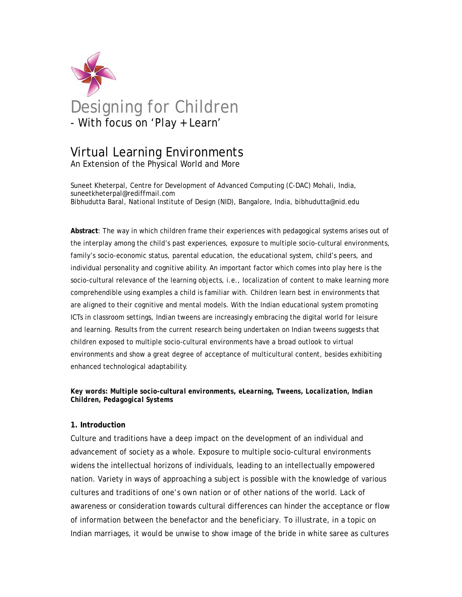

# Virtual Learning Environments

An Extension of the Physical World and More

Suneet Kheterpal, Centre for Development of Advanced Computing (C-DAC) Mohali, India, suneetkheterpal@rediffmail.com Bibhudutta Baral, National Institute of Design (NID), Bangalore, India, bibhudutta@nid.edu

**Abstract**: The way in which children frame their experiences with pedagogical systems arises out of the interplay among the child's past experiences, exposure to multiple socio-cultural environments, family's socio-economic status, parental education, the educational system, child's peers, and individual personality and cognitive ability. An important factor which comes into play here is the socio-cultural relevance of the learning objects, i.e., localization of content to make learning more comprehendible using examples a child is familiar with. Children learn best in environments that are aligned to their cognitive and mental models. With the Indian educational system promoting ICTs in classroom settings, Indian tweens are increasingly embracing the digital world for leisure and learning. Results from the current research being undertaken on Indian tweens suggests that children exposed to multiple socio-cultural environments have a broad outlook to virtual environments and show a great degree of acceptance of multicultural content, besides exhibiting enhanced technological adaptability.

# *Key words: Multiple socio-cultural environments, eLearning, Tweens, Localization, Indian Children, Pedagogical Systems*

# **1. Introduction**

Culture and traditions have a deep impact on the development of an individual and advancement of society as a whole. Exposure to multiple socio-cultural environments widens the intellectual horizons of individuals, leading to an intellectually empowered nation. Variety in ways of approaching a subject is possible with the knowledge of various cultures and traditions of one's own nation or of other nations of the world. Lack of awareness or consideration towards cultural differences can hinder the acceptance or flow of information between the benefactor and the beneficiary. To illustrate, in a topic on Indian marriages, it would be unwise to show image of the bride in white saree as cultures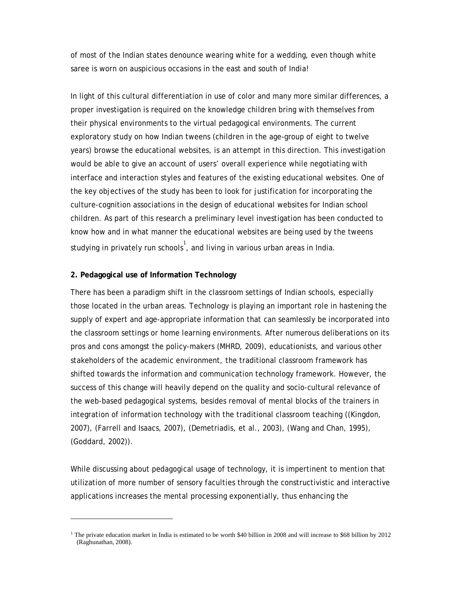of most of the Indian states denounce wearing white for a wedding, even though white saree is worn on auspicious occasions in the east and south of India!

In light of this cultural differentiation in use of color and many more similar differences, a proper investigation is required on the knowledge children bring with themselves from their physical environments to the virtual pedagogical environments. The current exploratory study on how Indian tweens (children in the age-group of eight to twelve years) browse the educational websites, is an attempt in this direction. This investigation would be able to give an account of users' overall experience while negotiating with interface and interaction styles and features of the existing educational websites. One of the key objectives of the study has been to look for justification for incorporating the culture-cognition associations in the design of educational websites for Indian school children. As part of this research a preliminary level investigation has been conducted to know how and in what manner the educational websites are being used by the tweens studying in privately run schools $^{\natural}$ , and living in various urban areas in India.

#### **2. Pedagogical use of Information Technology**

There has been a paradigm shift in the classroom settings of Indian schools, especially those located in the urban areas. Technology is playing an important role in hastening the supply of expert and age-appropriate information that can seamlessly be incorporated into the classroom settings or home learning environments. After numerous deliberations on its pros and cons amongst the policy-makers (MHRD, 2009), educationists, and various other stakeholders of the academic environment, the traditional classroom framework has shifted towards the information and communication technology framework. However, the success of this change will heavily depend on the quality and socio-cultural relevance of the web-based pedagogical systems, besides removal of mental blocks of the trainers in integration of information technology with the traditional classroom teaching ((Kingdon, 2007), (Farrell and Isaacs, 2007), (Demetriadis, et al., 2003), (Wang and Chan, 1995), (Goddard, 2002)).

While discussing about pedagogical usage of technology, it is impertinent to mention that utilization of more number of sensory faculties through the constructivistic and interactive applications increases the mental processing exponentially, thus enhancing the

<sup>&</sup>lt;sup>1</sup> The private education market in India is estimated to be worth \$40 billion in 2008 and will increase to \$68 billion by 2012 (Raghunathan, 2008).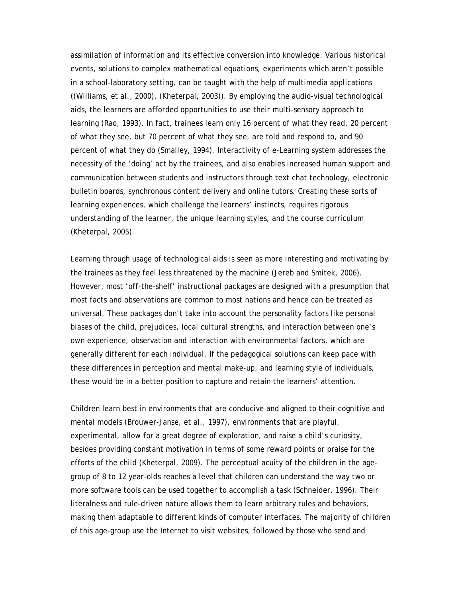assimilation of information and its effective conversion into knowledge. Various historical events, solutions to complex mathematical equations, experiments which aren't possible in a school-laboratory setting, can be taught with the help of multimedia applications ((Williams, et al., 2000), (Kheterpal, 2003)). By employing the audio-visual technological aids, the learners are afforded opportunities to use their multi-sensory approach to learning (Rao, 1993). In fact, trainees learn only 16 percent of what they read, 20 percent of what they see, but 70 percent of what they see, are told and respond to, and 90 percent of what they do (Smalley, 1994). Interactivity of e-Learning system addresses the necessity of the 'doing' act by the trainees, and also enables increased human support and communication between students and instructors through text chat technology, electronic bulletin boards, synchronous content delivery and online tutors. Creating these sorts of learning experiences, which challenge the learners' instincts, requires rigorous understanding of the learner, the unique learning styles, and the course curriculum (Kheterpal, 2005).

Learning through usage of technological aids is seen as more interesting and motivating by the trainees as they feel less threatened by the machine (Jereb and Smitek, 2006). However, most 'off-the-shelf' instructional packages are designed with a presumption that most facts and observations are common to most nations and hence can be treated as universal. These packages don't take into account the personality factors like personal biases of the child, prejudices, local cultural strengths, and interaction between one's own experience, observation and interaction with environmental factors, which are generally different for each individual. If the pedagogical solutions can keep pace with these differences in perception and mental make-up, and learning style of individuals, these would be in a better position to capture and retain the learners' attention.

Children learn best in environments that are conducive and aligned to their cognitive and mental models (Brouwer-Janse, et al., 1997), environments that are playful, experimental, allow for a great degree of exploration, and raise a child's curiosity, besides providing constant motivation in terms of some reward points or praise for the efforts of the child (Kheterpal, 2009). The perceptual acuity of the children in the agegroup of 8 to 12 year-olds reaches a level that children can understand the way two or more software tools can be used together to accomplish a task (Schneider, 1996). Their literalness and rule-driven nature allows them to learn arbitrary rules and behaviors, making them adaptable to different kinds of computer interfaces. The majority of children of this age-group use the Internet to visit websites, followed by those who send and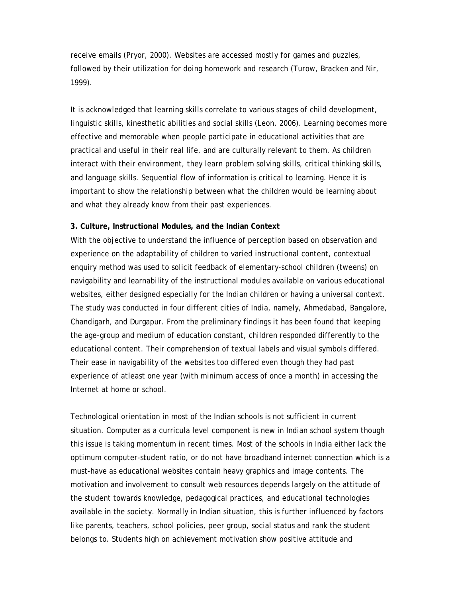receive emails (Pryor, 2000). Websites are accessed mostly for games and puzzles, followed by their utilization for doing homework and research (Turow, Bracken and Nir, 1999).

It is acknowledged that learning skills correlate to various stages of child development, linguistic skills, kinesthetic abilities and social skills (Leon, 2006). Learning becomes more effective and memorable when people participate in educational activities that are practical and useful in their real life, and are culturally relevant to them. As children interact with their environment, they learn problem solving skills, critical thinking skills, and language skills. Sequential flow of information is critical to learning. Hence it is important to show the relationship between what the children would be learning about and what they already know from their past experiences.

# **3. Culture, Instructional Modules, and the Indian Context**

With the objective to understand the influence of perception based on observation and experience on the adaptability of children to varied instructional content, contextual enquiry method was used to solicit feedback of elementary-school children (tweens) on navigability and learnability of the instructional modules available on various educational websites, either designed especially for the Indian children or having a universal context. The study was conducted in four different cities of India, namely, Ahmedabad, Bangalore, Chandigarh, and Durgapur. From the preliminary findings it has been found that keeping the age-group and medium of education constant, children responded differently to the educational content. Their comprehension of textual labels and visual symbols differed. Their ease in navigability of the websites too differed even though they had past experience of atleast one year (with minimum access of once a month) in accessing the Internet at home or school.

Technological orientation in most of the Indian schools is not sufficient in current situation. Computer as a curricula level component is new in Indian school system though this issue is taking momentum in recent times. Most of the schools in India either lack the optimum computer-student ratio, or do not have broadband internet connection which is a must-have as educational websites contain heavy graphics and image contents. The motivation and involvement to consult web resources depends largely on the attitude of the student towards knowledge, pedagogical practices, and educational technologies available in the society. Normally in Indian situation, this is further influenced by factors like parents, teachers, school policies, peer group, social status and rank the student belongs to. Students high on achievement motivation show positive attitude and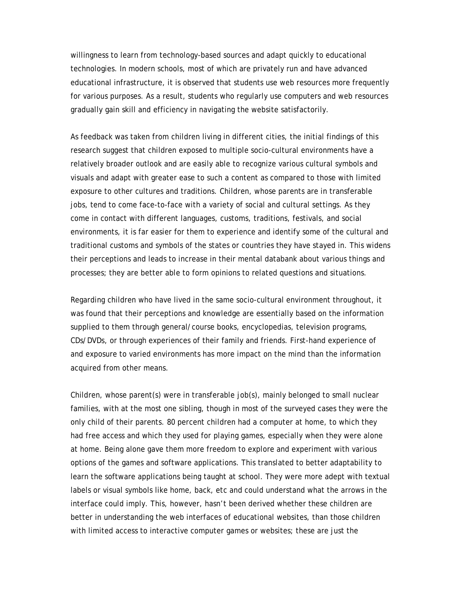willingness to learn from technology-based sources and adapt quickly to educational technologies. In modern schools, most of which are privately run and have advanced educational infrastructure, it is observed that students use web resources more frequently for various purposes. As a result, students who regularly use computers and web resources gradually gain skill and efficiency in navigating the website satisfactorily.

As feedback was taken from children living in different cities, the initial findings of this research suggest that children exposed to multiple socio-cultural environments have a relatively broader outlook and are easily able to recognize various cultural symbols and visuals and adapt with greater ease to such a content as compared to those with limited exposure to other cultures and traditions. Children, whose parents are in transferable jobs, tend to come face-to-face with a variety of social and cultural settings. As they come in contact with different languages, customs, traditions, festivals, and social environments, it is far easier for them to experience and identify some of the cultural and traditional customs and symbols of the states or countries they have stayed in. This widens their perceptions and leads to increase in their mental databank about various things and processes; they are better able to form opinions to related questions and situations.

Regarding children who have lived in the same socio-cultural environment throughout, it was found that their perceptions and knowledge are essentially based on the information supplied to them through general/course books, encyclopedias, television programs, CDs/DVDs, or through experiences of their family and friends. First-hand experience of and exposure to varied environments has more impact on the mind than the information acquired from other means.

Children, whose parent(s) were in transferable job(s), mainly belonged to small nuclear families, with at the most one sibling, though in most of the surveyed cases they were the only child of their parents. 80 percent children had a computer at home, to which they had free access and which they used for playing games, especially when they were alone at home. Being alone gave them more freedom to explore and experiment with various options of the games and software applications. This translated to better adaptability to learn the software applications being taught at school. They were more adept with textual labels or visual symbols like home, back, etc and could understand what the arrows in the interface could imply. This, however, hasn't been derived whether these children are better in understanding the web interfaces of educational websites, than those children with limited access to interactive computer games or websites; these are just the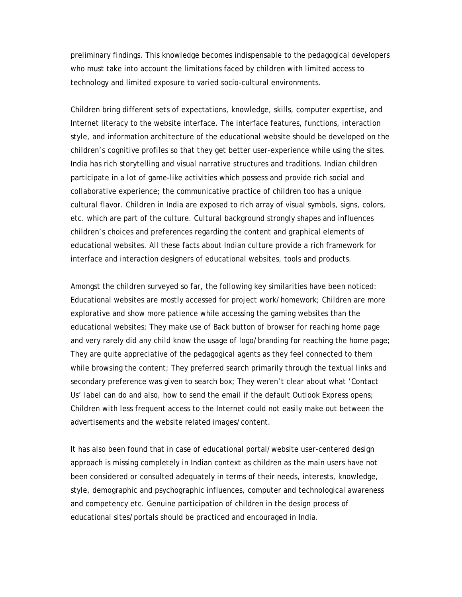preliminary findings. This knowledge becomes indispensable to the pedagogical developers who must take into account the limitations faced by children with limited access to technology and limited exposure to varied socio-cultural environments.

Children bring different sets of expectations, knowledge, skills, computer expertise, and Internet literacy to the website interface. The interface features, functions, interaction style, and information architecture of the educational website should be developed on the children's cognitive profiles so that they get better user-experience while using the sites. India has rich storytelling and visual narrative structures and traditions. Indian children participate in a lot of game-like activities which possess and provide rich social and collaborative experience; the communicative practice of children too has a unique cultural flavor. Children in India are exposed to rich array of visual symbols, signs, colors, etc. which are part of the culture. Cultural background strongly shapes and influences children's choices and preferences regarding the content and graphical elements of educational websites. All these facts about Indian culture provide a rich framework for interface and interaction designers of educational websites, tools and products.

Amongst the children surveyed so far, the following key similarities have been noticed: Educational websites are mostly accessed for project work/homework; Children are more explorative and show more patience while accessing the gaming websites than the educational websites; They make use of Back button of browser for reaching home page and very rarely did any child know the usage of logo/branding for reaching the home page; They are quite appreciative of the pedagogical agents as they feel connected to them while browsing the content; They preferred search primarily through the textual links and secondary preference was given to search box; They weren't clear about what 'Contact Us' label can do and also, how to send the email if the default Outlook Express opens; Children with less frequent access to the Internet could not easily make out between the advertisements and the website related images/content.

It has also been found that in case of educational portal/website user-centered design approach is missing completely in Indian context as children as the main users have not been considered or consulted adequately in terms of their needs, interests, knowledge, style, demographic and psychographic influences, computer and technological awareness and competency etc. Genuine participation of children in the design process of educational sites/portals should be practiced and encouraged in India.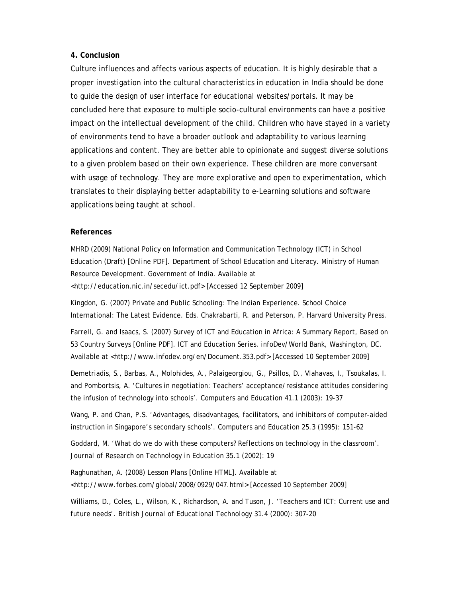# **4. Conclusion**

Culture influences and affects various aspects of education. It is highly desirable that a proper investigation into the cultural characteristics in education in India should be done to guide the design of user interface for educational websites/portals. It may be concluded here that exposure to multiple socio-cultural environments can have a positive impact on the intellectual development of the child. Children who have stayed in a variety of environments tend to have a broader outlook and adaptability to various learning applications and content. They are better able to opinionate and suggest diverse solutions to a given problem based on their own experience. These children are more conversant with usage of technology. They are more explorative and open to experimentation, which translates to their displaying better adaptability to e-Learning solutions and software applications being taught at school.

# **References**

MHRD (2009) National Policy on Information and Communication Technology (ICT) in School Education (Draft) [Online PDF]. Department of School Education and Literacy. Ministry of Human Resource Development. Government of India. Available at <http://education.nic.in/secedu/ict.pdf> [Accessed 12 September 2009]

Kingdon, G. (2007) Private and Public Schooling: The Indian Experience. School Choice International: The Latest Evidence. Eds. Chakrabarti, R. and Peterson, P. Harvard University Press.

Farrell, G. and Isaacs, S. (2007) Survey of ICT and Education in Africa: A Summary Report, Based on 53 Country Surveys [Online PDF]. ICT and Education Series. infoDev/World Bank, Washington, DC. Available at <http://www.infodev.org/en/Document.353.pdf> [Accessed 10 September 2009]

Demetriadis, S., Barbas, A., Molohides, A., Palaigeorgiou, G., Psillos, D., Vlahavas, I., Tsoukalas, I. and Pombortsis, A. 'Cultures in negotiation: Teachers' acceptance/resistance attitudes considering the infusion of technology into schools'. *Computers and Education* 41.1 (2003): 19-37

Wang, P. and Chan, P.S. 'Advantages, disadvantages, facilitators, and inhibitors of computer-aided instruction in Singapore's secondary schools'. *Computers and Education* 25.3 (1995): 151-62

Goddard, M. 'What do we do with these computers? Reflections on technology in the classroom'. *Journal of Research on Technology in Education* 35.1 (2002): 19

Raghunathan, A. (2008) Lesson Plans [Online HTML]. Available at <http://www.forbes.com/global/2008/0929/047.html> [Accessed 10 September 2009]

Williams, D., Coles, L., Wilson, K., Richardson, A. and Tuson, J. 'Teachers and ICT: Current use and future needs'. *British Journal of Educational Technology* 31.4 (2000): 307-20